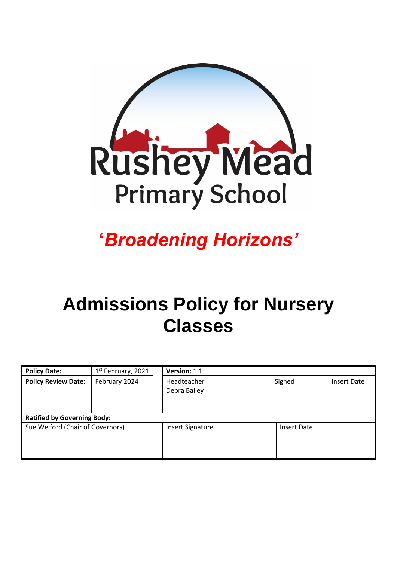

# **'***Broadening Horizons'*

# **Admissions Policy for Nursery Classes**

| <b>Policy Date:</b>                | 1 <sup>st</sup> February, 2021 | Version: 1.1                |  |                    |             |
|------------------------------------|--------------------------------|-----------------------------|--|--------------------|-------------|
| <b>Policy Review Date:</b>         | February 2024                  | Headteacher<br>Debra Bailey |  | Signed             | Insert Date |
| <b>Ratified by Governing Body:</b> |                                |                             |  |                    |             |
| Sue Welford (Chair of Governors)   |                                | <b>Insert Signature</b>     |  | <b>Insert Date</b> |             |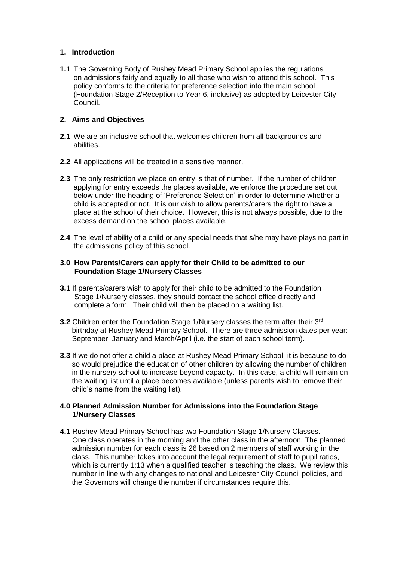# **1. Introduction**

**1.1** The Governing Body of Rushey Mead Primary School applies the regulations on admissions fairly and equally to all those who wish to attend this school. This policy conforms to the criteria for preference selection into the main school (Foundation Stage 2/Reception to Year 6, inclusive) as adopted by Leicester City Council.

# **2. Aims and Objectives**

- **2.1** We are an inclusive school that welcomes children from all backgrounds and abilities.
- **2.2** All applications will be treated in a sensitive manner.
- **2.3** The only restriction we place on entry is that of number. If the number of children applying for entry exceeds the places available, we enforce the procedure set out below under the heading of 'Preference Selection' in order to determine whether a child is accepted or not. It is our wish to allow parents/carers the right to have a place at the school of their choice. However, this is not always possible, due to the excess demand on the school places available.
- **2.4** The level of ability of a child or any special needs that s/he may have plays no part in the admissions policy of this school.

# **3.0 How Parents/Carers can apply for their Child to be admitted to our Foundation Stage 1/Nursery Classes**

- **3.1** If parents/carers wish to apply for their child to be admitted to the Foundation Stage 1/Nursery classes, they should contact the school office directly and complete a form. Their child will then be placed on a waiting list.
- **3.2** Children enter the Foundation Stage 1/Nursery classes the term after their 3<sup>rd</sup> birthday at Rushey Mead Primary School. There are three admission dates per year: September, January and March/April (i.e. the start of each school term).
- **3.3** If we do not offer a child a place at Rushey Mead Primary School, it is because to do so would prejudice the education of other children by allowing the number of children in the nursery school to increase beyond capacity. In this case, a child will remain on the waiting list until a place becomes available (unless parents wish to remove their child's name from the waiting list).

# **4.0 Planned Admission Number for Admissions into the Foundation Stage 1/Nursery Classes**

**4.1** Rushey Mead Primary School has two Foundation Stage 1/Nursery Classes. One class operates in the morning and the other class in the afternoon. The planned admission number for each class is 26 based on 2 members of staff working in the class. This number takes into account the legal requirement of staff to pupil ratios, which is currently 1:13 when a qualified teacher is teaching the class. We review this number in line with any changes to national and Leicester City Council policies, and the Governors will change the number if circumstances require this.